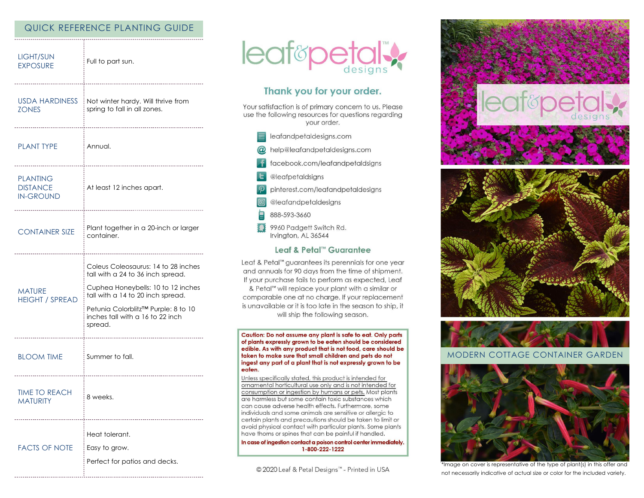# QUICK REFERENCE PLANTING GUIDE

| LIGHT/SUN<br><b>EXPOSURE</b>                           | Full to part sun.                                                                                                                                                                                                                         |
|--------------------------------------------------------|-------------------------------------------------------------------------------------------------------------------------------------------------------------------------------------------------------------------------------------------|
| USDA HARDINESS<br><b>ZONES</b>                         | Not winter hardy. Will thrive from<br>spring to fall in all zones.                                                                                                                                                                        |
| <b>PLANT TYPE</b>                                      | Annual.                                                                                                                                                                                                                                   |
| <b>PLANTING</b><br><b>DISTANCE</b><br><b>IN-GROUND</b> | At least 12 inches apart.                                                                                                                                                                                                                 |
| <b>CONTAINER SIZE</b>                                  | Plant together in a 20-inch or larger<br>container.                                                                                                                                                                                       |
| <b>MATURE</b><br><b>HEIGHT / SPREAD</b>                | Coleus Coleosaurus: 14 to 28 inches<br>tall with a 24 to 36 inch spread.<br>Cuphea Honeybells: 10 to 12 inches<br>tall with a 14 to 20 inch spread.<br>Petunia Colorblitz™ Purple: 8 to 10<br>inches tall with a 16 to 22 inch<br>spread. |
| <b>BLOOM TIME</b>                                      | Summer to fall.                                                                                                                                                                                                                           |
| <b>TIME TO REACH</b><br><b>MATURITY</b>                | 8 weeks.                                                                                                                                                                                                                                  |
| <b>FACTS OF NOTE</b>                                   | Heat tolerant.<br>Easy to grow.<br>Perfect for patios and decks.                                                                                                                                                                          |



# Thank you for your order.

Your satisfaction is of primary concern to us. Please use the following resources for questions regarding your order.

- $\equiv$  leafandpetaldesigns.com
- @ help@leafandpetaldesigns.com
- **i** facebook.com/leafandpetaldsigns
- **L** @leafpetaldsigns
- pinterest.com/leafandpetaldesigns
- @leafandpetaldesigns
- 888-593-3660
- \$\$ 9960 Padgett Switch Rd. Irvington, AL 36544

### Leaf & Petal™ Guarantee

Leaf & Petal™ guarantees its perennials for one year and annuals for 90 days from the time of shipment. If your purchase fails to perform as expected, Leaf & Petal<sup>™</sup> will replace your plant with a similar or comparable one at no charge. If your replacement is unavailable or it is too late in the season to ship, it will ship the following season.

Caution: Do not assume any plant is safe to eat. Only parts of plants expressly grown to be eaten should be considered edible. As with any product that is not food, care should be taken to make sure that small children and pets do not ingest any part of a plant that is not expressly grown to be eaten.

Unless specifically stated, this product is intended for ornamental horticultural use only and is not intended for consumption or ingestion by humans or pets. Most plants are harmless but some contain toxic substances which can cause adverse health effects. Furthermore, some individuals and some animals are sensitive or allergic to certain plants and precautions should be taken to limit or avoid physical contact with particular plants. Some plants have thorns or spines that can be painful if handled.

In case of ingestion contact a poison control center immediately. 1-800-222-1222

© 2020 Leaf & Petal Designs™ - Printed in USA



### **MODERN COTTAGE CONTAINER GARDEN**



\*Image on cover is representative of the type of plant(s) in this offer and not necessarily indicative of actual size or color for the included variety.